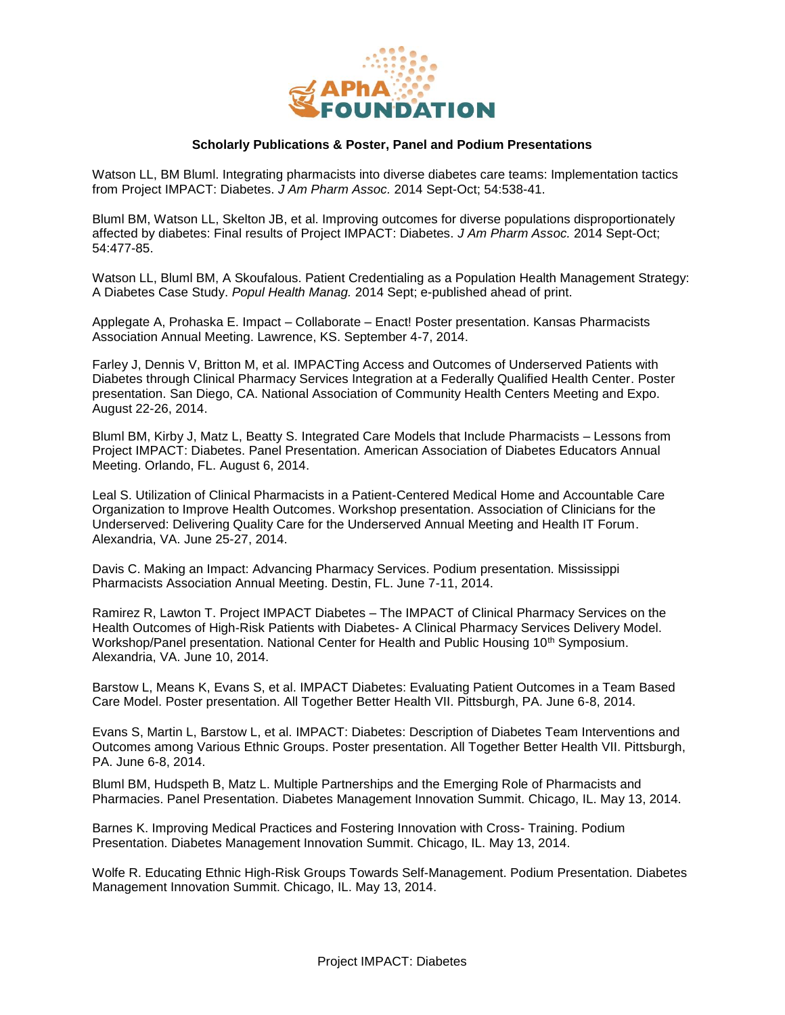

## **Scholarly Publications & Poster, Panel and Podium Presentations**

Watson LL, BM Bluml. Integrating pharmacists into diverse diabetes care teams: Implementation tactics from Project IMPACT: Diabetes. *J Am Pharm Assoc.* 2014 Sept-Oct; 54:538-41.

Bluml BM, Watson LL, Skelton JB, et al. Improving outcomes for diverse populations disproportionately affected by diabetes: Final results of Project IMPACT: Diabetes. *J Am Pharm Assoc.* 2014 Sept-Oct; 54:477-85.

Watson LL, Bluml BM, A Skoufalous. Patient Credentialing as a Population Health Management Strategy: A Diabetes Case Study. *Popul Health Manag.* 2014 Sept; e-published ahead of print.

Applegate A, Prohaska E. Impact – Collaborate – Enact! Poster presentation. Kansas Pharmacists Association Annual Meeting. Lawrence, KS. September 4-7, 2014.

Farley J, Dennis V, Britton M, et al. IMPACTing Access and Outcomes of Underserved Patients with Diabetes through Clinical Pharmacy Services Integration at a Federally Qualified Health Center. Poster presentation. San Diego, CA. National Association of Community Health Centers Meeting and Expo. August 22-26, 2014.

Bluml BM, Kirby J, Matz L, Beatty S. Integrated Care Models that Include Pharmacists – Lessons from Project IMPACT: Diabetes. Panel Presentation. American Association of Diabetes Educators Annual Meeting. Orlando, FL. August 6, 2014.

Leal S. Utilization of Clinical Pharmacists in a Patient-Centered Medical Home and Accountable Care Organization to Improve Health Outcomes. Workshop presentation. Association of Clinicians for the Underserved: Delivering Quality Care for the Underserved Annual Meeting and Health IT Forum. Alexandria, VA. June 25-27, 2014.

Davis C. Making an Impact: Advancing Pharmacy Services. Podium presentation. Mississippi Pharmacists Association Annual Meeting. Destin, FL. June 7-11, 2014.

Ramirez R, Lawton T. Project IMPACT Diabetes – The IMPACT of Clinical Pharmacy Services on the Health Outcomes of High-Risk Patients with Diabetes- A Clinical Pharmacy Services Delivery Model. Workshop/Panel presentation. National Center for Health and Public Housing 10<sup>th</sup> Symposium. Alexandria, VA. June 10, 2014.

Barstow L, Means K, Evans S, et al. IMPACT Diabetes: Evaluating Patient Outcomes in a Team Based Care Model. Poster presentation. All Together Better Health VII. Pittsburgh, PA. June 6-8, 2014.

Evans S, Martin L, Barstow L, et al. IMPACT: Diabetes: Description of Diabetes Team Interventions and Outcomes among Various Ethnic Groups. Poster presentation. All Together Better Health VII. Pittsburgh, PA. June 6-8, 2014.

Bluml BM, Hudspeth B, Matz L. Multiple Partnerships and the Emerging Role of Pharmacists and Pharmacies. Panel Presentation. Diabetes Management Innovation Summit. Chicago, IL. May 13, 2014.

Barnes K. Improving Medical Practices and Fostering Innovation with Cross- Training. Podium Presentation. Diabetes Management Innovation Summit. Chicago, IL. May 13, 2014.

Wolfe R. Educating Ethnic High-Risk Groups Towards Self-Management. Podium Presentation. Diabetes Management Innovation Summit. Chicago, IL. May 13, 2014.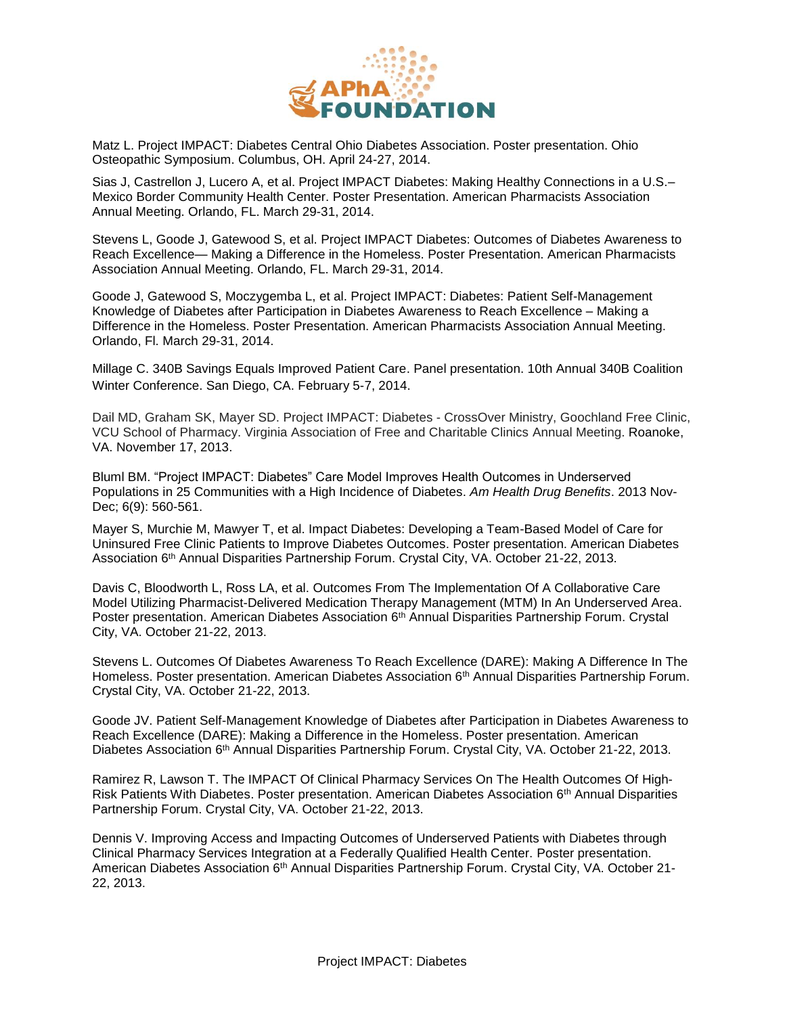

Matz L. Project IMPACT: Diabetes Central Ohio Diabetes Association. Poster presentation. Ohio Osteopathic Symposium. Columbus, OH. April 24-27, 2014.

Sias J, Castrellon J, Lucero A, et al. Project IMPACT Diabetes: Making Healthy Connections in a U.S.– Mexico Border Community Health Center. Poster Presentation. American Pharmacists Association Annual Meeting. Orlando, FL. March 29-31, 2014.

Stevens L, Goode J, Gatewood S, et al. Project IMPACT Diabetes: Outcomes of Diabetes Awareness to Reach Excellence— Making a Difference in the Homeless. Poster Presentation. American Pharmacists Association Annual Meeting. Orlando, FL. March 29-31, 2014.

Goode J, Gatewood S, Moczygemba L, et al. Project IMPACT: Diabetes: Patient Self-Management Knowledge of Diabetes after Participation in Diabetes Awareness to Reach Excellence – Making a Difference in the Homeless. Poster Presentation. American Pharmacists Association Annual Meeting. Orlando, Fl. March 29-31, 2014.

Millage C. 340B Savings Equals Improved Patient Care. Panel presentation. 10th Annual 340B Coalition Winter Conference. San Diego, CA. February 5-7, 2014.

Dail MD, Graham SK, Mayer SD. Project IMPACT: Diabetes - CrossOver Ministry, Goochland Free Clinic, VCU School of Pharmacy. Virginia Association of Free and Charitable Clinics Annual Meeting. Roanoke, VA. November 17, 2013.

Bluml BM. "Project IMPACT: Diabetes" Care Model Improves Health Outcomes in Underserved Populations in 25 Communities with a High Incidence of Diabetes. *Am Health Drug Benefits*. 2013 Nov-Dec; 6(9): 560-561.

Mayer S, Murchie M, Mawyer T, et al. Impact Diabetes: Developing a Team-Based Model of Care for Uninsured Free Clinic Patients to Improve Diabetes Outcomes. Poster presentation. American Diabetes Association 6th Annual Disparities Partnership Forum. Crystal City, VA. October 21-22, 2013.

Davis C, Bloodworth L, Ross LA, et al. Outcomes From The Implementation Of A Collaborative Care Model Utilizing Pharmacist-Delivered Medication Therapy Management (MTM) In An Underserved Area. Poster presentation. American Diabetes Association 6th Annual Disparities Partnership Forum. Crystal City, VA. October 21-22, 2013.

Stevens L. Outcomes Of Diabetes Awareness To Reach Excellence (DARE): Making A Difference In The Homeless. Poster presentation. American Diabetes Association 6<sup>th</sup> Annual Disparities Partnership Forum. Crystal City, VA. October 21-22, 2013.

Goode JV. Patient Self-Management Knowledge of Diabetes after Participation in Diabetes Awareness to Reach Excellence (DARE): Making a Difference in the Homeless. Poster presentation. American Diabetes Association 6<sup>th</sup> Annual Disparities Partnership Forum. Crystal City, VA. October 21-22, 2013.

Ramirez R, Lawson T. The IMPACT Of Clinical Pharmacy Services On The Health Outcomes Of High-Risk Patients With Diabetes. Poster presentation. American Diabetes Association 6th Annual Disparities Partnership Forum. Crystal City, VA. October 21-22, 2013.

Dennis V. Improving Access and Impacting Outcomes of Underserved Patients with Diabetes through Clinical Pharmacy Services Integration at a Federally Qualified Health Center. Poster presentation. American Diabetes Association 6th Annual Disparities Partnership Forum. Crystal City, VA. October 21- 22, 2013.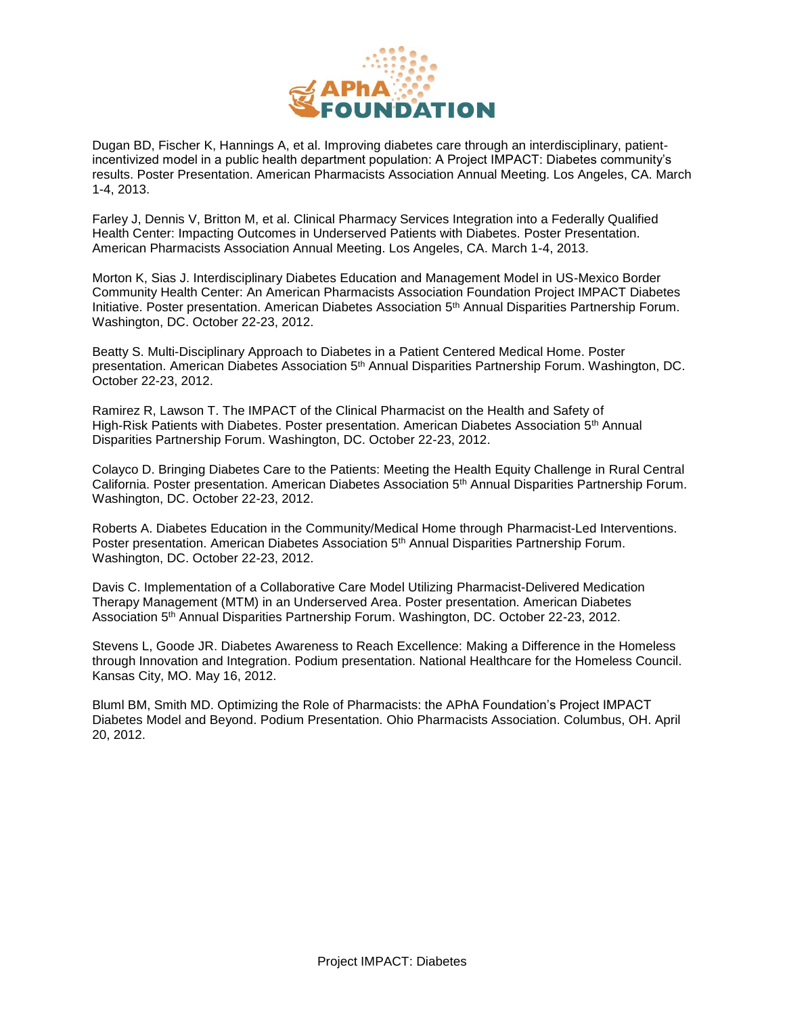

Dugan BD, Fischer K, Hannings A, et al. Improving diabetes care through an interdisciplinary, patientincentivized model in a public health department population: A Project IMPACT: Diabetes community's results. Poster Presentation. American Pharmacists Association Annual Meeting. Los Angeles, CA. March 1-4, 2013.

Farley J, Dennis V, Britton M, et al. Clinical Pharmacy Services Integration into a Federally Qualified Health Center: Impacting Outcomes in Underserved Patients with Diabetes. Poster Presentation. American Pharmacists Association Annual Meeting. Los Angeles, CA. March 1-4, 2013.

Morton K, Sias J. Interdisciplinary Diabetes Education and Management Model in US-Mexico Border Community Health Center: An American Pharmacists Association Foundation Project IMPACT Diabetes Initiative. Poster presentation. American Diabetes Association 5th Annual Disparities Partnership Forum. Washington, DC. October 22-23, 2012.

Beatty S. Multi-Disciplinary Approach to Diabetes in a Patient Centered Medical Home. Poster presentation. American Diabetes Association 5<sup>th</sup> Annual Disparities Partnership Forum. Washington, DC. October 22-23, 2012.

Ramirez R, Lawson T. The IMPACT of the Clinical Pharmacist on the Health and Safety of High-Risk Patients with Diabetes. Poster presentation. American Diabetes Association 5<sup>th</sup> Annual Disparities Partnership Forum. Washington, DC. October 22-23, 2012.

Colayco D. Bringing Diabetes Care to the Patients: Meeting the Health Equity Challenge in Rural Central California. Poster presentation. American Diabetes Association 5th Annual Disparities Partnership Forum. Washington, DC. October 22-23, 2012.

Roberts A. Diabetes Education in the Community/Medical Home through Pharmacist-Led Interventions. Poster presentation. American Diabetes Association 5<sup>th</sup> Annual Disparities Partnership Forum. Washington, DC. October 22-23, 2012.

Davis C. Implementation of a Collaborative Care Model Utilizing Pharmacist-Delivered Medication Therapy Management (MTM) in an Underserved Area. Poster presentation. American Diabetes Association 5th Annual Disparities Partnership Forum. Washington, DC. October 22-23, 2012.

Stevens L, Goode JR. Diabetes Awareness to Reach Excellence: Making a Difference in the Homeless through Innovation and Integration. Podium presentation. National Healthcare for the Homeless Council. Kansas City, MO. May 16, 2012.

Bluml BM, Smith MD. Optimizing the Role of Pharmacists: the APhA Foundation's Project IMPACT Diabetes Model and Beyond. Podium Presentation. Ohio Pharmacists Association. Columbus, OH. April 20, 2012.